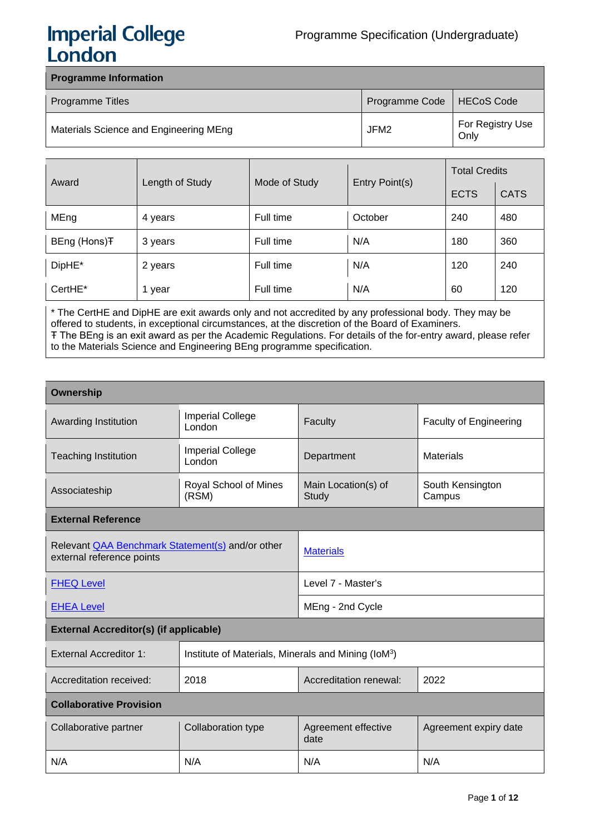# **Imperial College<br>London**

| <b>Programme Information</b>           |                             |                          |  |  |
|----------------------------------------|-----------------------------|--------------------------|--|--|
| <b>Programme Titles</b>                | Programme Code   HECoS Code |                          |  |  |
| Materials Science and Engineering MEng | JFM <sub>2</sub>            | For Registry Use<br>Only |  |  |

| Award                    | Length of Study | Mode of Study |                | <b>Total Credits</b> |             |
|--------------------------|-----------------|---------------|----------------|----------------------|-------------|
|                          |                 |               | Entry Point(s) | <b>ECTS</b>          | <b>CATS</b> |
| MEng                     | 4 years         | Full time     | October        | 240                  | 480         |
| BEng (Hons) <sub>T</sub> | 3 years         | Full time     | N/A            | 180                  | 360         |
| DipHE*                   | 2 years         | Full time     | N/A            | 120                  | 240         |
| CertHE <sup>*</sup>      | 1 year          | Full time     | N/A            | 60                   | 120         |

\* The CertHE and DipHE are exit awards only and not accredited by any professional body. They may be offered to students, in exceptional circumstances, at the discretion of the Board of Examiners. Ŧ The BEng is an exit award as per the Academic Regulations. For details of the for-entry award, please refer to the Materials Science and Engineering BEng programme specification.

| <b>Ownership</b>                                                                     |                                                                 |                              |                               |  |
|--------------------------------------------------------------------------------------|-----------------------------------------------------------------|------------------------------|-------------------------------|--|
| Awarding Institution                                                                 | <b>Imperial College</b><br>London                               | Faculty                      | <b>Faculty of Engineering</b> |  |
| <b>Teaching Institution</b>                                                          | <b>Imperial College</b><br>London                               | Department                   | Materials                     |  |
| Associateship                                                                        | Royal School of Mines<br>(RSM)                                  | Main Location(s) of<br>Study | South Kensington<br>Campus    |  |
| <b>External Reference</b>                                                            |                                                                 |                              |                               |  |
| Relevant <b>QAA Benchmark Statement(s)</b> and/or other<br>external reference points |                                                                 | <b>Materials</b>             |                               |  |
| <b>FHEQ Level</b>                                                                    |                                                                 | Level 7 - Master's           |                               |  |
| <b>EHEA Level</b>                                                                    |                                                                 | MEng - 2nd Cycle             |                               |  |
| <b>External Accreditor(s) (if applicable)</b>                                        |                                                                 |                              |                               |  |
| <b>External Accreditor 1:</b>                                                        | Institute of Materials, Minerals and Mining (IoM <sup>3</sup> ) |                              |                               |  |
| Accreditation received:                                                              | 2018                                                            | Accreditation renewal:       | 2022                          |  |
| <b>Collaborative Provision</b>                                                       |                                                                 |                              |                               |  |
| Collaborative partner                                                                | Collaboration type                                              | Agreement effective<br>date  | Agreement expiry date         |  |
| N/A                                                                                  | N/A                                                             | N/A                          | N/A                           |  |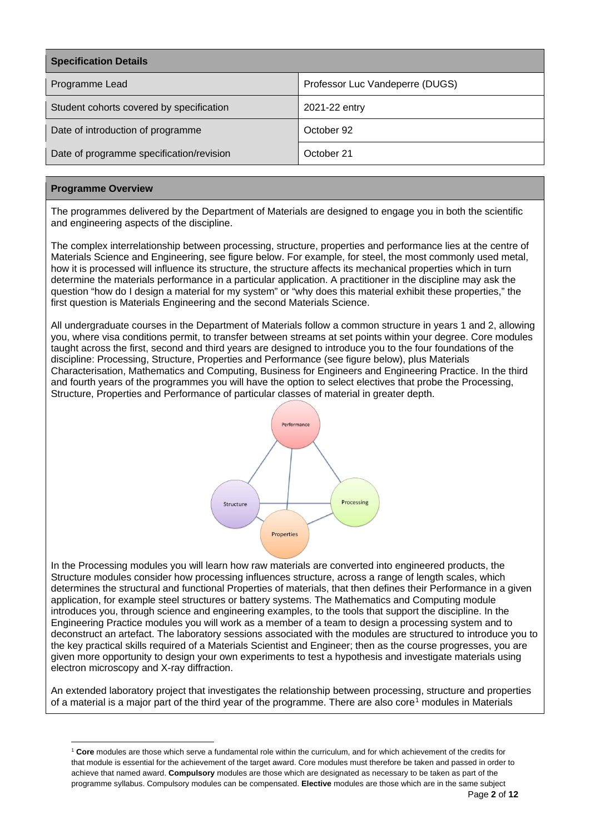| <b>Specification Details</b>             |                                 |  |  |
|------------------------------------------|---------------------------------|--|--|
| Programme Lead                           | Professor Luc Vandeperre (DUGS) |  |  |
| Student cohorts covered by specification | 2021-22 entry                   |  |  |
| Date of introduction of programme        | October 92                      |  |  |
| Date of programme specification/revision | October 21                      |  |  |

# **Programme Overview**

The programmes delivered by the Department of Materials are designed to engage you in both the scientific and engineering aspects of the discipline.

The complex interrelationship between processing, structure, properties and performance lies at the centre of Materials Science and Engineering, see figure below. For example, for steel, the most commonly used metal, how it is processed will influence its structure, the structure affects its mechanical properties which in turn determine the materials performance in a particular application. A practitioner in the discipline may ask the question "how do I design a material for my system" or "why does this material exhibit these properties," the first question is Materials Engineering and the second Materials Science.

All undergraduate courses in the Department of Materials follow a common structure in years 1 and 2, allowing you, where visa conditions permit, to transfer between streams at set points within your degree. Core modules taught across the first, second and third years are designed to introduce you to the four foundations of the discipline: Processing, Structure, Properties and Performance (see figure below), plus Materials Characterisation, Mathematics and Computing, Business for Engineers and Engineering Practice. In the third and fourth years of the programmes you will have the option to select electives that probe the Processing, Structure, Properties and Performance of particular classes of material in greater depth.



In the Processing modules you will learn how raw materials are converted into engineered products, the Structure modules consider how processing influences structure, across a range of length scales, which determines the structural and functional Properties of materials, that then defines their Performance in a given application, for example steel structures or battery systems. The Mathematics and Computing module introduces you, through science and engineering examples, to the tools that support the discipline. In the Engineering Practice modules you will work as a member of a team to design a processing system and to deconstruct an artefact. The laboratory sessions associated with the modules are structured to introduce you to the key practical skills required of a Materials Scientist and Engineer; then as the course progresses, you are given more opportunity to design your own experiments to test a hypothesis and investigate materials using electron microscopy and X-ray diffraction.

An extended laboratory project that investigates the relationship between processing, structure and properties of a material is a major part of the third year of the programme. There are also core<sup>[1](#page-1-0)</sup> modules in Materials

<span id="page-1-0"></span><sup>1</sup> **Core** modules are those which serve a fundamental role within the curriculum, and for which achievement of the credits for that module is essential for the achievement of the target award. Core modules must therefore be taken and passed in order to achieve that named award. **Compulsory** modules are those which are designated as necessary to be taken as part of the programme syllabus. Compulsory modules can be compensated. **Elective** modules are those which are in the same subject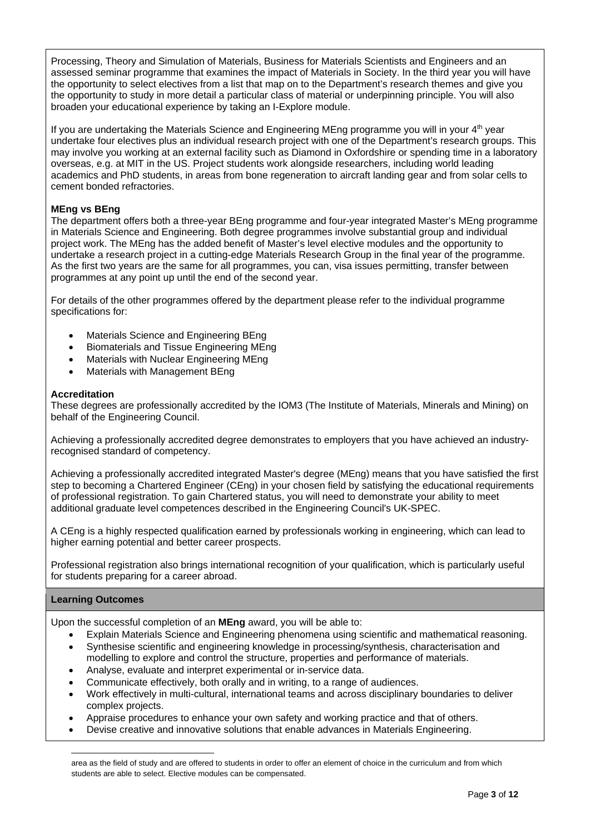Processing, Theory and Simulation of Materials, Business for Materials Scientists and Engineers and an assessed seminar programme that examines the impact of Materials in Society. In the third year you will have the opportunity to select electives from a list that map on to the Department's research themes and give you the opportunity to study in more detail a particular class of material or underpinning principle. You will also broaden your educational experience by taking an I-Explore module.

If you are undertaking the Materials Science and Engineering MEng programme you will in your 4<sup>th</sup> year undertake four electives plus an individual research project with one of the Department's research groups. This may involve you working at an external facility such as Diamond in Oxfordshire or spending time in a laboratory overseas, e.g. at MIT in the US. Project students work alongside researchers, including world leading academics and PhD students, in areas from bone regeneration to aircraft landing gear and from solar cells to cement bonded refractories.

# **MEng vs BEng**

The department offers both a three-year BEng programme and four-year integrated Master's MEng programme in Materials Science and Engineering. Both degree programmes involve substantial group and individual project work. The MEng has the added benefit of Master's level elective modules and the opportunity to undertake a research project in a cutting-edge Materials Research Group in the final year of the programme. As the first two years are the same for all programmes, you can, visa issues permitting, transfer between programmes at any point up until the end of the second year.

For details of the other programmes offered by the department please refer to the individual programme specifications for:

- Materials Science and Engineering BEng
- Biomaterials and Tissue Engineering MEng
- Materials with Nuclear Engineering MEng
- Materials with Management BEng

# **Accreditation**

These degrees are professionally accredited by the IOM3 (The Institute of Materials, Minerals and Mining) on behalf of the Engineering Council.

Achieving a professionally accredited degree demonstrates to employers that you have achieved an industryrecognised standard of competency.

Achieving a professionally accredited integrated Master's degree (MEng) means that you have satisfied the first step to becoming a Chartered Engineer (CEng) in your chosen field by satisfying the educational requirements of professional registration. To gain Chartered status, you will need to demonstrate your ability to meet additional graduate level competences described in the Engineering Council's UK-SPEC.

A CEng is a highly respected qualification earned by professionals working in engineering, which can lead to higher earning potential and better career prospects.

Professional registration also brings international recognition of your qualification, which is particularly useful for students preparing for a career abroad.

# **Learning Outcomes**

Upon the successful completion of an **MEng** award, you will be able to:

- Explain Materials Science and Engineering phenomena using scientific and mathematical reasoning.
- Synthesise scientific and engineering knowledge in processing/synthesis, characterisation and modelling to explore and control the structure, properties and performance of materials.
- Analyse, evaluate and interpret experimental or in-service data.
- Communicate effectively, both orally and in writing, to a range of audiences.
- Work effectively in multi-cultural, international teams and across disciplinary boundaries to deliver complex projects.
- Appraise procedures to enhance your own safety and working practice and that of others.
- Devise creative and innovative solutions that enable advances in Materials Engineering.

area as the field of study and are offered to students in order to offer an element of choice in the curriculum and from which students are able to select. Elective modules can be compensated.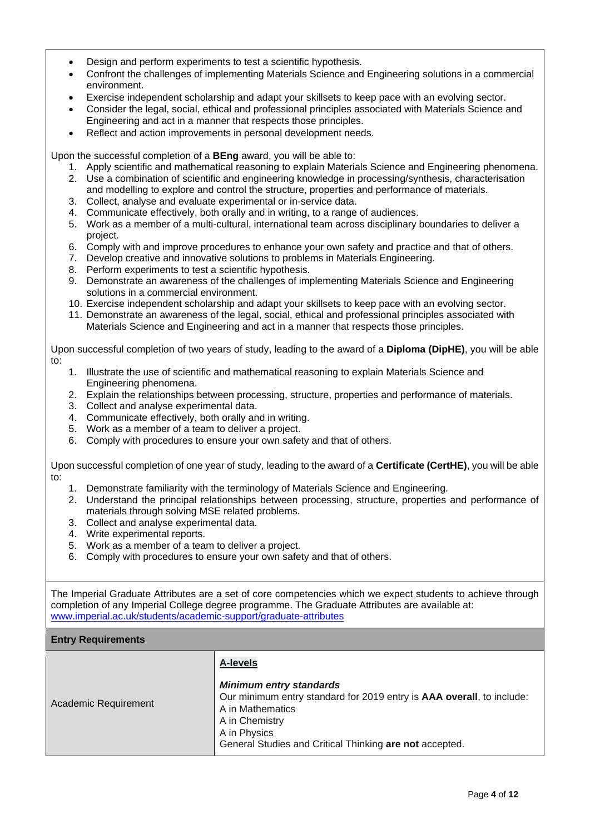- Design and perform experiments to test a scientific hypothesis.
- Confront the challenges of implementing Materials Science and Engineering solutions in a commercial environment.
- Exercise independent scholarship and adapt your skillsets to keep pace with an evolving sector.
- Consider the legal, social, ethical and professional principles associated with Materials Science and Engineering and act in a manner that respects those principles.
- Reflect and action improvements in personal development needs.

Upon the successful completion of a **BEng** award, you will be able to:

- 1. Apply scientific and mathematical reasoning to explain Materials Science and Engineering phenomena.
- 2. Use a combination of scientific and engineering knowledge in processing/synthesis, characterisation and modelling to explore and control the structure, properties and performance of materials.
- 3. Collect, analyse and evaluate experimental or in-service data.
- 4. Communicate effectively, both orally and in writing, to a range of audiences.
- 5. Work as a member of a multi-cultural, international team across disciplinary boundaries to deliver a project.
- 6. Comply with and improve procedures to enhance your own safety and practice and that of others.
- 7. Develop creative and innovative solutions to problems in Materials Engineering.
- 8. Perform experiments to test a scientific hypothesis.
- 9. Demonstrate an awareness of the challenges of implementing Materials Science and Engineering solutions in a commercial environment.
- 10. Exercise independent scholarship and adapt your skillsets to keep pace with an evolving sector.
- 11. Demonstrate an awareness of the legal, social, ethical and professional principles associated with Materials Science and Engineering and act in a manner that respects those principles.

Upon successful completion of two years of study, leading to the award of a **Diploma (DipHE)**, you will be able to:

- 1. Illustrate the use of scientific and mathematical reasoning to explain Materials Science and Engineering phenomena.
- 2. Explain the relationships between processing, structure, properties and performance of materials.
- 3. Collect and analyse experimental data.
- 4. Communicate effectively, both orally and in writing.
- 5. Work as a member of a team to deliver a project.
- 6. Comply with procedures to ensure your own safety and that of others.

Upon successful completion of one year of study, leading to the award of a **Certificate (CertHE)**, you will be able to:

- 1. Demonstrate familiarity with the terminology of Materials Science and Engineering.
- 2. Understand the principal relationships between processing, structure, properties and performance of materials through solving MSE related problems.
- 3. Collect and analyse experimental data.
- 4. Write experimental reports.
- 5. Work as a member of a team to deliver a project.
- 6. Comply with procedures to ensure your own safety and that of others.

The Imperial Graduate Attributes are a set of core competencies which we expect students to achieve through completion of any Imperial College degree programme. The Graduate Attributes are available at: [www.imperial.ac.uk/students/academic-support/graduate-attributes](http://www.imperial.ac.uk/students/academic-support/graduate-attributes)

# **Entry Requirements**

|                      | A-levels                                                                                                                                                                                                                         |
|----------------------|----------------------------------------------------------------------------------------------------------------------------------------------------------------------------------------------------------------------------------|
| Academic Requirement | <b>Minimum entry standards</b><br>Our minimum entry standard for 2019 entry is <b>AAA overall</b> , to include:<br>A in Mathematics<br>A in Chemistry<br>A in Physics<br>General Studies and Critical Thinking are not accepted. |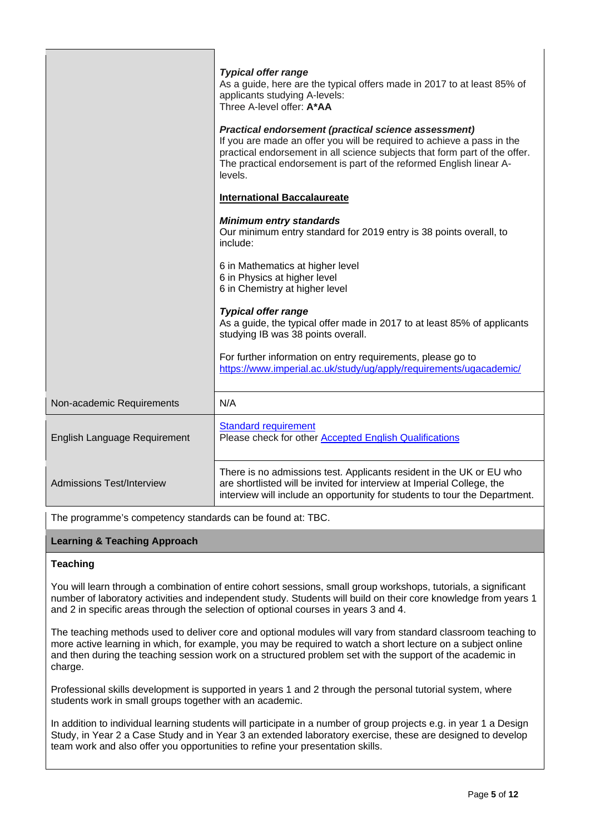|                                  | <b>Typical offer range</b><br>As a guide, here are the typical offers made in 2017 to at least 85% of<br>applicants studying A-levels:<br>Three A-level offer: A*AA<br>Practical endorsement (practical science assessment)<br>If you are made an offer you will be required to achieve a pass in the<br>practical endorsement in all science subjects that form part of the offer.<br>The practical endorsement is part of the reformed English linear A-<br>levels.<br><b>International Baccalaureate</b><br><b>Minimum entry standards</b><br>Our minimum entry standard for 2019 entry is 38 points overall, to<br>include:<br>6 in Mathematics at higher level<br>6 in Physics at higher level<br>6 in Chemistry at higher level<br><b>Typical offer range</b><br>As a guide, the typical offer made in 2017 to at least 85% of applicants<br>studying IB was 38 points overall.<br>For further information on entry requirements, please go to<br>https://www.imperial.ac.uk/study/ug/apply/requirements/ugacademic/ |
|----------------------------------|----------------------------------------------------------------------------------------------------------------------------------------------------------------------------------------------------------------------------------------------------------------------------------------------------------------------------------------------------------------------------------------------------------------------------------------------------------------------------------------------------------------------------------------------------------------------------------------------------------------------------------------------------------------------------------------------------------------------------------------------------------------------------------------------------------------------------------------------------------------------------------------------------------------------------------------------------------------------------------------------------------------------------|
| Non-academic Requirements        | N/A                                                                                                                                                                                                                                                                                                                                                                                                                                                                                                                                                                                                                                                                                                                                                                                                                                                                                                                                                                                                                        |
|                                  |                                                                                                                                                                                                                                                                                                                                                                                                                                                                                                                                                                                                                                                                                                                                                                                                                                                                                                                                                                                                                            |
| English Language Requirement     | <b>Standard requirement</b><br>Please check for other Accepted English Qualifications                                                                                                                                                                                                                                                                                                                                                                                                                                                                                                                                                                                                                                                                                                                                                                                                                                                                                                                                      |
| <b>Admissions Test/Interview</b> | There is no admissions test. Applicants resident in the UK or EU who<br>are shortlisted will be invited for interview at Imperial College, the<br>interview will include an opportunity for students to tour the Department.                                                                                                                                                                                                                                                                                                                                                                                                                                                                                                                                                                                                                                                                                                                                                                                               |

The programme's competency standards can be found at: TBC.

# **Learning & Teaching Approach**

# **Teaching**

You will learn through a combination of entire cohort sessions, small group workshops, tutorials, a significant number of laboratory activities and independent study. Students will build on their core knowledge from years 1 and 2 in specific areas through the selection of optional courses in years 3 and 4.

The teaching methods used to deliver core and optional modules will vary from standard classroom teaching to more active learning in which, for example, you may be required to watch a short lecture on a subject online and then during the teaching session work on a structured problem set with the support of the academic in charge.

Professional skills development is supported in years 1 and 2 through the personal tutorial system, where students work in small groups together with an academic.

In addition to individual learning students will participate in a number of group projects e.g. in year 1 a Design Study, in Year 2 a Case Study and in Year 3 an extended laboratory exercise, these are designed to develop team work and also offer you opportunities to refine your presentation skills.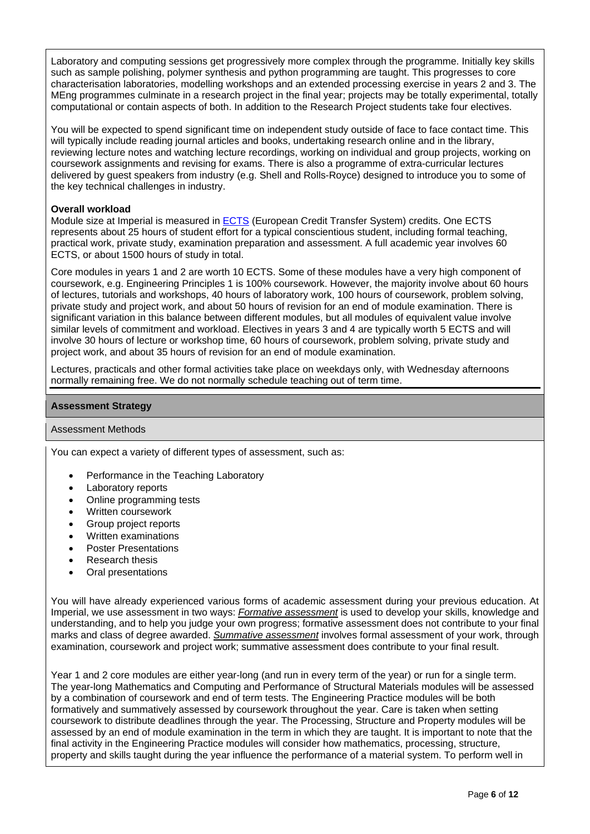Laboratory and computing sessions get progressively more complex through the programme. Initially key skills such as sample polishing, polymer synthesis and python programming are taught. This progresses to core characterisation laboratories, modelling workshops and an extended processing exercise in years 2 and 3. The MEng programmes culminate in a research project in the final year; projects may be totally experimental, totally computational or contain aspects of both. In addition to the Research Project students take four electives.

You will be expected to spend significant time on independent study outside of face to face contact time. This will typically include reading journal articles and books, undertaking research online and in the library, reviewing lecture notes and watching lecture recordings, working on individual and group projects, working on coursework assignments and revising for exams. There is also a programme of extra-curricular lectures delivered by guest speakers from industry (e.g. Shell and Rolls-Royce) designed to introduce you to some of the key technical challenges in industry.

# **Overall workload**

Module size at Imperial is measured in **ECTS** (European Credit Transfer System) credits. One [ECTS](https://www.imperial.ac.uk/study/ug/apply/our-degrees/) represents about 25 hours of student effort for a typical conscientious student, including formal teaching, practical work, private study, examination preparation and assessment. A full academic year involves 60 ECTS, or about 1500 hours of study in total.

Core modules in years 1 and 2 are worth 10 ECTS. Some of these modules have a very high component of coursework, e.g. Engineering Principles 1 is 100% coursework. However, the majority involve about 60 hours of lectures, tutorials and workshops, 40 hours of laboratory work, 100 hours of coursework, problem solving, private study and project work, and about 50 hours of revision for an end of module examination. There is significant variation in this balance between different modules, but all modules of equivalent value involve similar levels of commitment and workload. Electives in years 3 and 4 are typically worth 5 ECTS and will involve 30 hours of lecture or workshop time, 60 hours of coursework, problem solving, private study and project work, and about 35 hours of revision for an end of module examination.

Lectures, practicals and other formal activities take place on weekdays only, with Wednesday afternoons normally remaining free. We do not normally schedule teaching out of term time.

#### **Assessment Strategy**

#### Assessment Methods

You can expect a variety of different types of assessment, such as:

- Performance in the Teaching Laboratory
- Laboratory reports
- Online programming tests
- Written coursework
- Group project reports
- Written examinations
- Poster Presentations
- Research thesis
- Oral presentations

You will have already experienced various forms of academic assessment during your previous education. At Imperial, we use assessment in two ways: *Formative assessment* is used to develop your skills, knowledge and understanding, and to help you judge your own progress; formative assessment does not contribute to your final marks and class of degree awarded. *Summative assessment* involves formal assessment of your work, through examination, coursework and project work; summative assessment does contribute to your final result.

Year 1 and 2 core modules are either year-long (and run in every term of the year) or run for a single term. The year-long Mathematics and Computing and Performance of Structural Materials modules will be assessed by a combination of coursework and end of term tests. The Engineering Practice modules will be both formatively and summatively assessed by coursework throughout the year. Care is taken when setting coursework to distribute deadlines through the year. The Processing, Structure and Property modules will be assessed by an end of module examination in the term in which they are taught. It is important to note that the final activity in the Engineering Practice modules will consider how mathematics, processing, structure, property and skills taught during the year influence the performance of a material system. To perform well in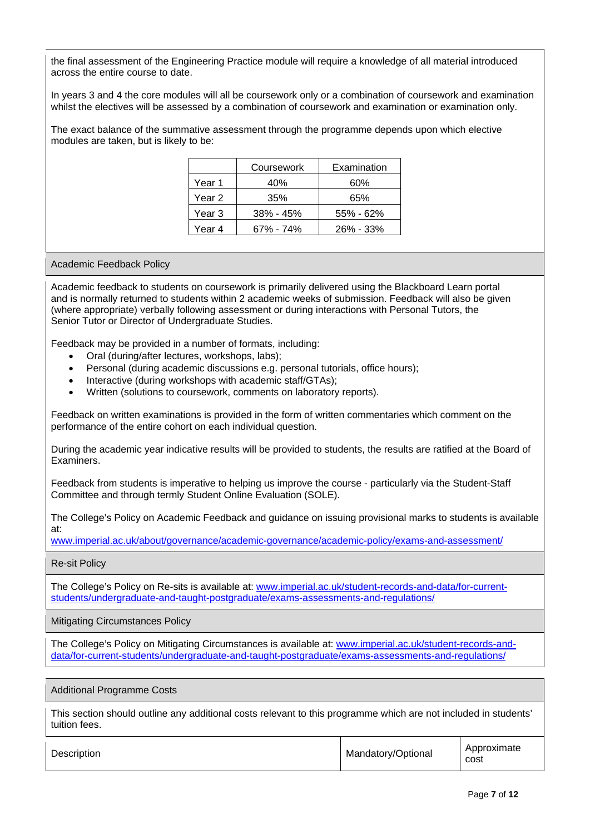the final assessment of the Engineering Practice module will require a knowledge of all material introduced across the entire course to date.

In years 3 and 4 the core modules will all be coursework only or a combination of coursework and examination whilst the electives will be assessed by a combination of coursework and examination or examination only.

The exact balance of the summative assessment through the programme depends upon which elective modules are taken, but is likely to be:

|        | Coursework    | Examination |  |
|--------|---------------|-------------|--|
| Year 1 | 40%           | 60%         |  |
| Year 2 | 35%           | 65%         |  |
| Year 3 | $38\% - 45\%$ | 55% - 62%   |  |
| Year 4 | 67% - 74%     | 26% - 33%   |  |

# Academic Feedback Policy

Academic feedback to students on coursework is primarily delivered using the Blackboard Learn portal and is normally returned to students within 2 academic weeks of submission. Feedback will also be given (where appropriate) verbally following assessment or during interactions with Personal Tutors, the Senior Tutor or Director of Undergraduate Studies.

Feedback may be provided in a number of formats, including:

- Oral (during/after lectures, workshops, labs);
- Personal (during academic discussions e.g. personal tutorials, office hours);
- Interactive (during workshops with academic staff/GTAs);
- Written (solutions to coursework, comments on laboratory reports).

Feedback on written examinations is provided in the form of written commentaries which comment on the performance of the entire cohort on each individual question.

During the academic year indicative results will be provided to students, the results are ratified at the Board of Examiners.

Feedback from students is imperative to helping us improve the course - particularly via the Student-Staff Committee and through termly Student Online Evaluation (SOLE).

The College's Policy on Academic Feedback and guidance on issuing provisional marks to students is available at:

[www.imperial.ac.uk/about/governance/academic-governance/academic-policy/exams-and-assessment/](http://www.imperial.ac.uk/about/governance/academic-governance/academic-policy/exams-and-assessment/)

Re-sit Policy

The College's Policy on Re-sits is available at: [www.imperial.ac.uk/student-records-and-data/for-current](http://www.imperial.ac.uk/student-records-and-data/for-current-students/undergraduate-and-taught-postgraduate/exams-assessments-and-regulations/)[students/undergraduate-and-taught-postgraduate/exams-assessments-and-regulations/](http://www.imperial.ac.uk/student-records-and-data/for-current-students/undergraduate-and-taught-postgraduate/exams-assessments-and-regulations/)

Mitigating Circumstances Policy

The College's Policy on Mitigating Circumstances is available at: [www.imperial.ac.uk/student-records-and](http://www.imperial.ac.uk/student-records-and-data/for-current-students/undergraduate-and-taught-postgraduate/exams-assessments-and-regulations/)[data/for-current-students/undergraduate-and-taught-postgraduate/exams-assessments-and-regulations/](http://www.imperial.ac.uk/student-records-and-data/for-current-students/undergraduate-and-taught-postgraduate/exams-assessments-and-regulations/)

| <b>Additional Programme Costs</b>                                                                                                |                    |                       |  |
|----------------------------------------------------------------------------------------------------------------------------------|--------------------|-----------------------|--|
| This section should outline any additional costs relevant to this programme which are not included in students'<br>tuition fees. |                    |                       |  |
| Description                                                                                                                      | Mandatory/Optional | Approximate<br>$\sim$ |  |

cost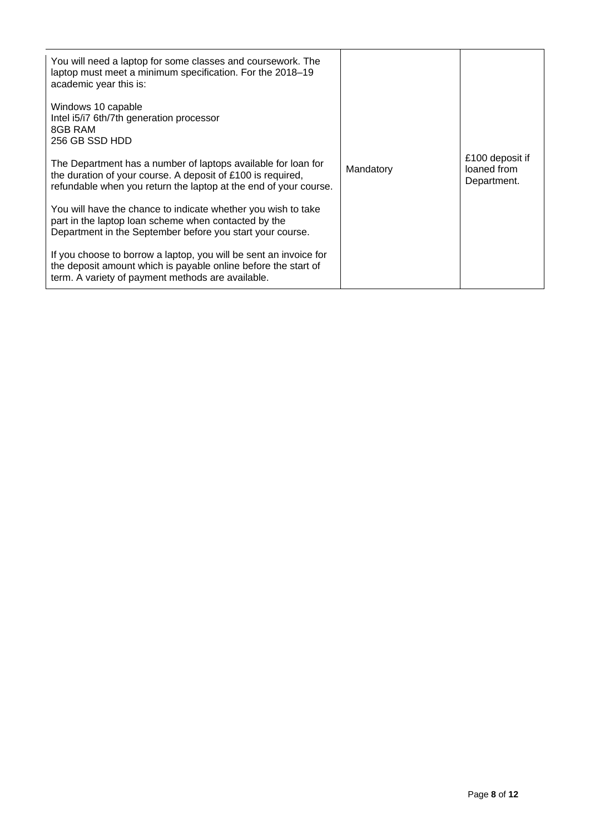| You will need a laptop for some classes and coursework. The<br>laptop must meet a minimum specification. For the 2018-19<br>academic year this is:                                               |           |                                               |
|--------------------------------------------------------------------------------------------------------------------------------------------------------------------------------------------------|-----------|-----------------------------------------------|
| Windows 10 capable<br>Intel i5/i7 6th/7th generation processor<br>8GB RAM<br>256 GB SSD HDD                                                                                                      |           |                                               |
| The Department has a number of laptops available for loan for<br>the duration of your course. A deposit of £100 is required,<br>refundable when you return the laptop at the end of your course. | Mandatory | £100 deposit if<br>loaned from<br>Department. |
| You will have the chance to indicate whether you wish to take<br>part in the laptop loan scheme when contacted by the<br>Department in the September before you start your course.               |           |                                               |
| If you choose to borrow a laptop, you will be sent an invoice for<br>the deposit amount which is payable online before the start of<br>term. A variety of payment methods are available.         |           |                                               |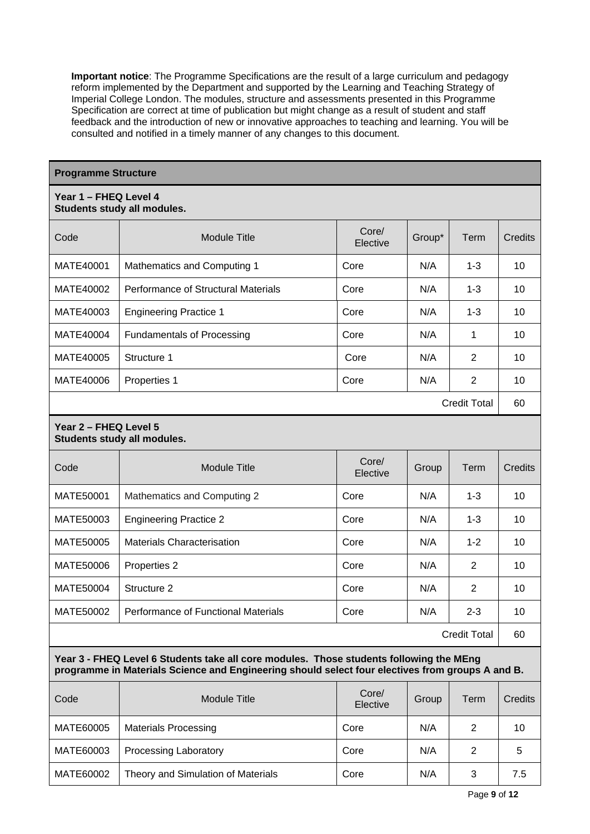**Important notice**: The Programme Specifications are the result of a large curriculum and pedagogy reform implemented by the Department and supported by the Learning and Teaching Strategy of Imperial College London. The modules, structure and assessments presented in this Programme Specification are correct at time of publication but might change as a result of student and staff feedback and the introduction of new or innovative approaches to teaching and learning. You will be consulted and notified in a timely manner of any changes to this document.

# **Programme Structure**

# **Year 1 – FHEQ Level 4 Students study all modules.**

| Code      | Module Title                        | Core/<br>Elective | Group* | Term                | Credits |
|-----------|-------------------------------------|-------------------|--------|---------------------|---------|
| MATE40001 | Mathematics and Computing 1         | Core              | N/A    | $1 - 3$             | 10      |
| MATE40002 | Performance of Structural Materials | Core              | N/A    | $1 - 3$             | 10      |
| MATE40003 | <b>Engineering Practice 1</b>       | Core              | N/A    | $1 - 3$             | 10      |
| MATE40004 | <b>Fundamentals of Processing</b>   | Core              | N/A    | 1                   | 10      |
| MATE40005 | Structure 1                         | Core              | N/A    | 2                   | 10      |
| MATE40006 | Properties 1                        | Core              | N/A    | 2                   | 10      |
|           |                                     |                   |        | <b>Credit Total</b> | 60      |

# **Year 2 – FHEQ Level 5 Students study all modules.**

| Code             | Module Title                        | Core/<br>Elective | Group | Term                | Credits |
|------------------|-------------------------------------|-------------------|-------|---------------------|---------|
| <b>MATE50001</b> | Mathematics and Computing 2         | Core              | N/A   | $1 - 3$             | 10      |
| MATE50003        | <b>Engineering Practice 2</b>       | Core              | N/A   | $1 - 3$             | 10      |
| MATE50005        | <b>Materials Characterisation</b>   | Core              | N/A   | $1 - 2$             | 10      |
| MATE50006        | Properties 2                        | Core              | N/A   | 2                   | 10      |
| MATE50004        | Structure 2                         | Core              | N/A   | 2                   | 10      |
| MATE50002        | Performance of Functional Materials | Core              | N/A   | $2 - 3$             | 10      |
|                  |                                     |                   |       | <b>Credit Total</b> | 60      |

**Year 3 - FHEQ Level 6 Students take all core modules. Those students following the MEng programme in Materials Science and Engineering should select four electives from groups A and B.** 

| Code      | Module Title                       | Core/<br>Elective | Group | Term | <b>Credits</b> |
|-----------|------------------------------------|-------------------|-------|------|----------------|
| MATE60005 | <b>Materials Processing</b>        | Core              | N/A   |      | 10             |
| MATE60003 | Processing Laboratory              | Core              | N/A   |      | 5              |
| MATE60002 | Theory and Simulation of Materials | Core              | N/A   |      | 7.5            |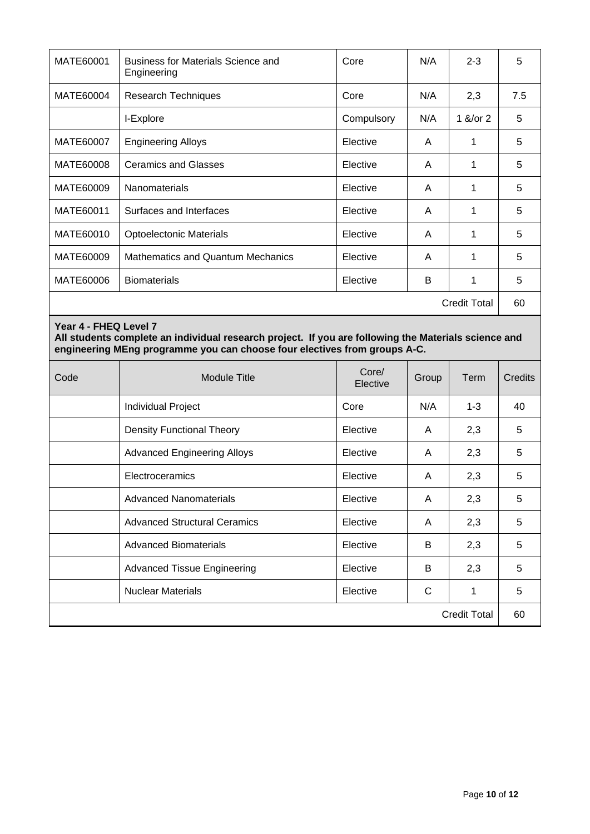| MATE60001           | Business for Materials Science and<br>Engineering | Core       | N/A | $2 - 3$          | 5   |
|---------------------|---------------------------------------------------|------------|-----|------------------|-----|
| MATE60004           | <b>Research Techniques</b>                        | Core       | N/A | 2,3              | 7.5 |
|                     | I-Explore                                         | Compulsory | N/A | 1 $&\sqrt{or} 2$ | 5   |
| MATE60007           | <b>Engineering Alloys</b>                         | Elective   | A   | 1                | 5   |
| MATE60008           | <b>Ceramics and Glasses</b>                       | Elective   | A   | 1                | 5   |
| MATE60009           | <b>Nanomaterials</b>                              | Elective   | A   | 1                | 5   |
| MATE60011           | Surfaces and Interfaces                           | Elective   | A   | 1                | 5   |
| MATE60010           | <b>Optoelectonic Materials</b>                    | Elective   | A   | 1                | 5   |
| MATE60009           | <b>Mathematics and Quantum Mechanics</b>          | Elective   | A   | 1                | 5   |
| MATE60006           | <b>Biomaterials</b>                               | Elective   | B   | 1                | 5   |
| <b>Credit Total</b> |                                                   |            |     |                  | 60  |

# **Year 4 - FHEQ Level 7 All students complete an individual research project. If you are following the Materials science and engineering MEng programme you can choose four electives from groups A-C.**

| Code                | Module Title                        | Core/<br>Elective | Group | Term    | <b>Credits</b> |
|---------------------|-------------------------------------|-------------------|-------|---------|----------------|
|                     | <b>Individual Project</b>           | Core              | N/A   | $1 - 3$ | 40             |
|                     | <b>Density Functional Theory</b>    | Elective          | A     | 2,3     | 5              |
|                     | <b>Advanced Engineering Alloys</b>  | Elective          | A     | 2,3     | 5              |
|                     | Electroceramics                     | Elective          | A     | 2,3     | 5              |
|                     | <b>Advanced Nanomaterials</b>       | Elective          | A     | 2,3     | 5              |
|                     | <b>Advanced Structural Ceramics</b> | Elective          | A     | 2,3     | 5              |
|                     | <b>Advanced Biomaterials</b>        | Elective          | B     | 2,3     | 5              |
|                     | <b>Advanced Tissue Engineering</b>  | Elective          | B     | 2,3     | 5              |
|                     | <b>Nuclear Materials</b>            | Elective          | C     | 1       | 5              |
| <b>Credit Total</b> |                                     |                   |       | 60      |                |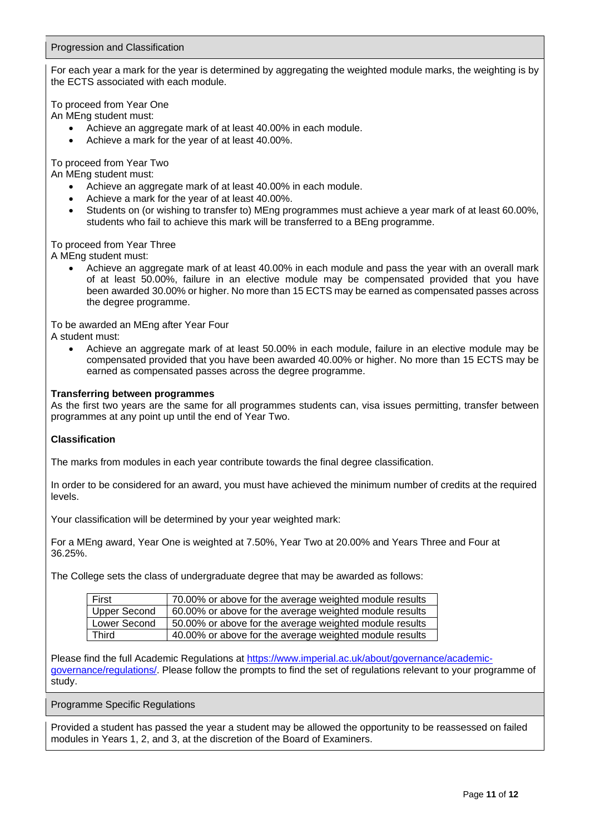# Progression and Classification

For each year a mark for the year is determined by aggregating the weighted module marks, the weighting is by the ECTS associated with each module.

To proceed from Year One

An MEng student must:

- Achieve an aggregate mark of at least 40.00% in each module.
- Achieve a mark for the year of at least 40.00%.

To proceed from Year Two

An MEng student must:

- Achieve an aggregate mark of at least 40.00% in each module.
- Achieve a mark for the year of at least 40.00%.
- Students on (or wishing to transfer to) MEng programmes must achieve a year mark of at least 60.00%, students who fail to achieve this mark will be transferred to a BEng programme.

To proceed from Year Three

A MEng student must:

• Achieve an aggregate mark of at least 40.00% in each module and pass the year with an overall mark of at least 50.00%, failure in an elective module may be compensated provided that you have been awarded 30.00% or higher. No more than 15 ECTS may be earned as compensated passes across the degree programme.

To be awarded an MEng after Year Four A student must:

> • Achieve an aggregate mark of at least 50.00% in each module, failure in an elective module may be compensated provided that you have been awarded 40.00% or higher. No more than 15 ECTS may be earned as compensated passes across the degree programme.

#### **Transferring between programmes**

As the first two years are the same for all programmes students can, visa issues permitting, transfer between programmes at any point up until the end of Year Two.

#### **Classification**

The marks from modules in each year contribute towards the final degree classification.

In order to be considered for an award, you must have achieved the minimum number of credits at the required levels.

Your classification will be determined by your year weighted mark:

For a MEng award, Year One is weighted at 7.50%, Year Two at 20.00% and Years Three and Four at 36.25%.

The College sets the class of undergraduate degree that may be awarded as follows:

| First               | 70.00% or above for the average weighted module results |
|---------------------|---------------------------------------------------------|
| <b>Upper Second</b> | 60.00% or above for the average weighted module results |
| Lower Second        | 50.00% or above for the average weighted module results |
| Third               | 40.00% or above for the average weighted module results |

Please find the full Academic Regulations at [https://www.imperial.ac.uk/about/governance/academic](https://www.imperial.ac.uk/about/governance/academic-governance/regulations/)[governance/regulations/.](https://www.imperial.ac.uk/about/governance/academic-governance/regulations/) Please follow the prompts to find the set of regulations relevant to your programme of study.

Programme Specific Regulations

Provided a student has passed the year a student may be allowed the opportunity to be reassessed on failed modules in Years 1, 2, and 3, at the discretion of the Board of Examiners.